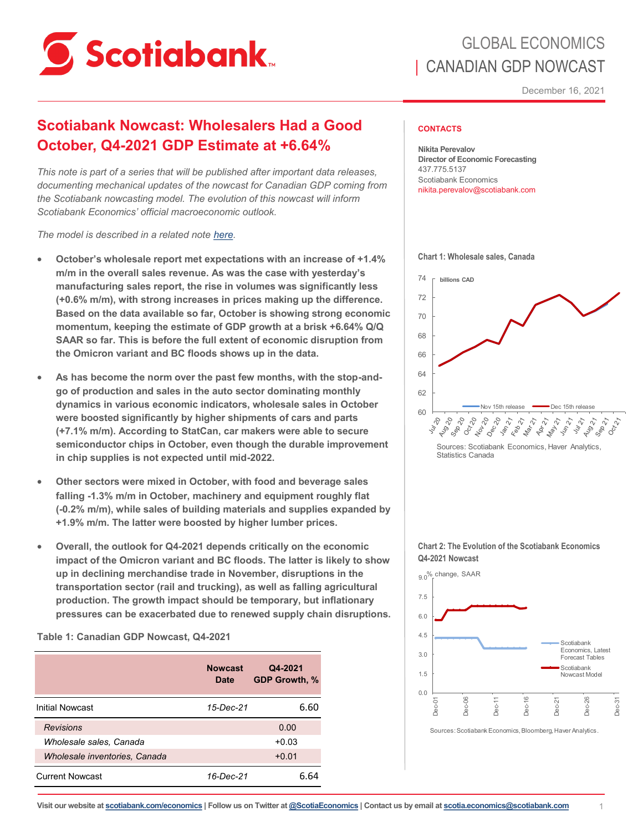

# GLOBAL ECONOMICS | CANADIAN GDP NOWCAST

December 16, 2021

# **Scotiabank Nowcast: Wholesalers Had a Good October, Q4-2021 GDP Estimate at +6.64%**

*This note is part of a series that will be published after important data releases, documenting mechanical updates of the nowcast for Canadian GDP coming from the Scotiabank nowcasting model. The evolution of this nowcast will inform Scotiabank Economics' official macroeconomic outlook.*

*The model is described in a related note [here.](https://www.scotiabank.com/content/dam/scotiabank/sub-brands/scotiabank-economics/english/documents/insights-views/2018-10-30_I&V.pdf)* 

- **October's wholesale report met expectations with an increase of +1.4% m/m in the overall sales revenue. As was the case with yesterday's manufacturing sales report, the rise in volumes was significantly less (+0.6% m/m), with strong increases in prices making up the difference. Based on the data available so far, October is showing strong economic momentum, keeping the estimate of GDP growth at a brisk +6.64% Q/Q SAAR so far. This is before the full extent of economic disruption from the Omicron variant and BC floods shows up in the data.**
- **As has become the norm over the past few months, with the stop-andgo of production and sales in the auto sector dominating monthly dynamics in various economic indicators, wholesale sales in October were boosted significantly by higher shipments of cars and parts (+7.1% m/m). According to StatCan, car makers were able to secure semiconductor chips in October, even though the durable improvement in chip supplies is not expected until mid-2022.**
- **Other sectors were mixed in October, with food and beverage sales falling -1.3% m/m in October, machinery and equipment roughly flat (-0.2% m/m), while sales of building materials and supplies expanded by +1.9% m/m. The latter were boosted by higher lumber prices.**
- **Overall, the outlook for Q4-2021 depends critically on the economic impact of the Omicron variant and BC floods. The latter is likely to show up in declining merchandise trade in November, disruptions in the transportation sector (rail and trucking), as well as falling agricultural production. The growth impact should be temporary, but inflationary pressures can be exacerbated due to renewed supply chain disruptions.**

**Table 1: Canadian GDP Nowcast, Q4-2021**

|                               | <b>Nowcast</b><br>Date | Q4-2021<br><b>GDP Growth, %</b> |
|-------------------------------|------------------------|---------------------------------|
| <b>Initial Nowcast</b>        | 15-Dec-21              | 6.60                            |
| <b>Revisions</b>              |                        | 0.00                            |
| Wholesale sales, Canada       |                        | $+0.03$                         |
| Wholesale inventories, Canada |                        | $+0.01$                         |
| <b>Current Nowcast</b>        | 16-Dec-21              | ճ 64                            |

## **CONTACTS**

**Nikita Perevalov Director of Economic Forecasting** 437.775.5137 Scotiabank Economics nikita.perevalov@scotiabank.com





Statistics Canada

### **Chart 2: The Evolution of the Scotiabank Economics Q4-2021 Nowcast**